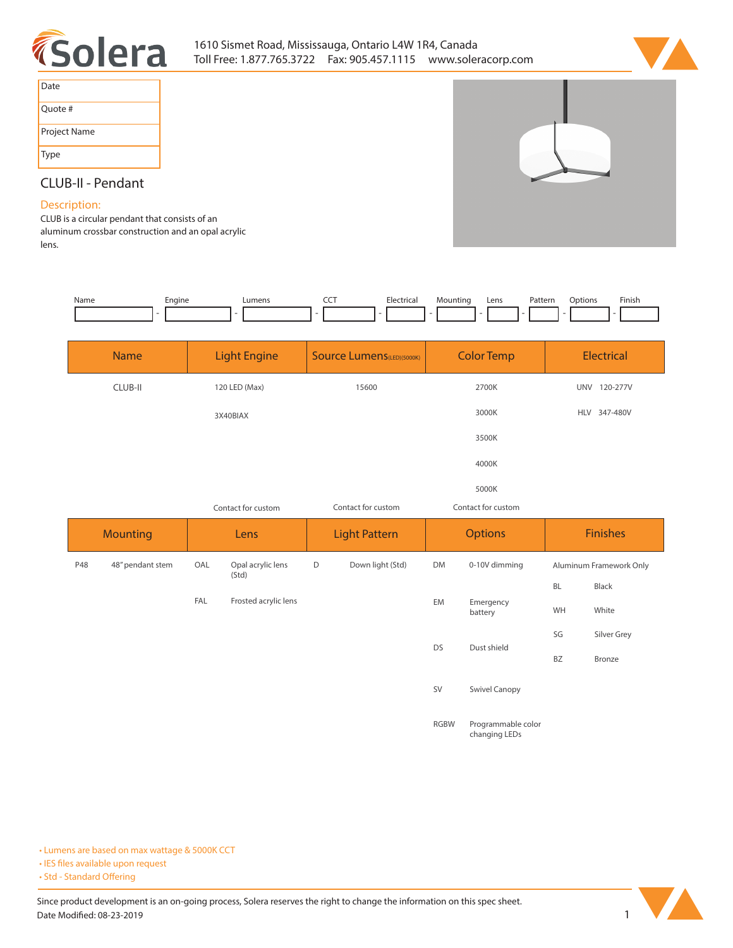



| Date         |
|--------------|
| Quote #      |
| Project Name |
| <b>Type</b>  |

## **CLUB-II - Pendant**

## **Description:**

**CLUB is a circular pendant that consists of an aluminum crossbar construction and an opal acrylic lens.**

| Name | Engine<br>- - | Lumens | ---<br>$\tilde{}$ | Hectrical<br>. | Mountinc | Lens | Patterr<br>. | วtion. | Finish<br>the contract of the contract of the |
|------|---------------|--------|-------------------|----------------|----------|------|--------------|--------|-----------------------------------------------|
|      |               |        |                   |                |          |      |              |        |                                               |

| <b>Name</b>             |                                          | <b>Light Engine</b>  |                      | <b>Source Lumens(LED)(5000K)</b> | <b>Color Temp</b> |                      |                 | <b>Electrical</b>       |  |
|-------------------------|------------------------------------------|----------------------|----------------------|----------------------------------|-------------------|----------------------|-----------------|-------------------------|--|
| CLUB-II                 | 120 LED (Max)                            |                      | 15600                |                                  |                   | 2700K                |                 | UNV 120-277V            |  |
|                         | 3X40BIAX                                 |                      |                      |                                  | 3000K             |                      | HLV 347-480V    |                         |  |
|                         |                                          |                      |                      |                                  |                   | 3500K                |                 |                         |  |
|                         |                                          |                      |                      |                                  |                   | 4000K                |                 |                         |  |
|                         |                                          |                      |                      |                                  |                   | 5000K                |                 |                         |  |
|                         | Contact for custom<br>Contact for custom |                      | Contact for custom   |                                  |                   |                      |                 |                         |  |
|                         | Lens                                     |                      | <b>Light Pattern</b> |                                  | <b>Options</b>    |                      | <b>Finishes</b> |                         |  |
| <b>Mounting</b>         |                                          |                      |                      |                                  |                   |                      |                 |                         |  |
| 48" pendant stem<br>P48 | OAL                                      | Opal acrylic lens    | D                    | Down light (Std)                 | <b>DM</b>         | 0-10V dimming        |                 | Aluminum Framework Only |  |
|                         |                                          | (Std)                |                      |                                  |                   |                      | <b>BL</b>       | Black                   |  |
|                         | FAL                                      | Frosted acrylic lens |                      |                                  | EM                | Emergency<br>battery | WH              | White                   |  |
|                         |                                          |                      |                      |                                  |                   |                      | SG              | Silver Grey             |  |
|                         |                                          |                      |                      |                                  | <b>DS</b>         | Dust shield          | <b>BZ</b>       | Bronze                  |  |

**RGBW Programmable color changing LEDs**

**• Lumens are based on max wattage & 5000K CCT**

**• IES files available upon request** 

• Std - Standard Offering

Since product development is an on-going process, Solera reserves the right to change the information on this spec sheet. **Date Modified: 08-23-2019** 1